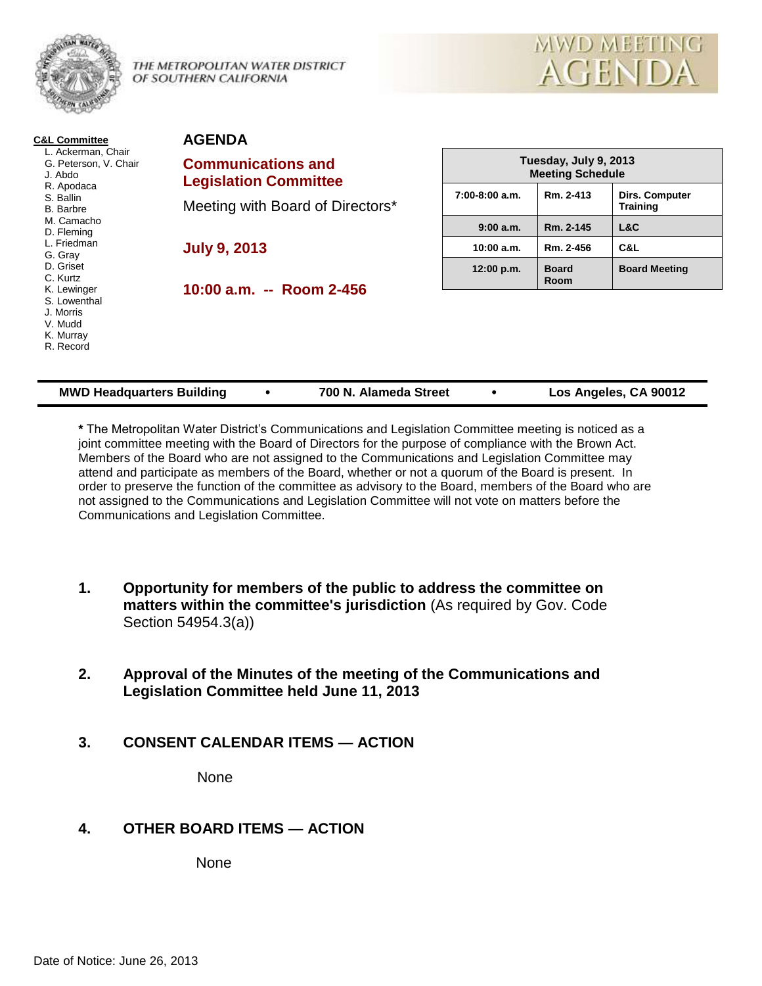

THE METROPOLITAN WATER DISTRICT OF SOUTHERN CALIFORNIA



| L. Ackerman, Chair<br>G. Peterson, V. Chair<br>J. Abdo                        | <b>Communications and</b><br><b>Legislation Committee</b> | Tuesday, July 9, 2013<br><b>Meeting Schedule</b> |                             |                                          |
|-------------------------------------------------------------------------------|-----------------------------------------------------------|--------------------------------------------------|-----------------------------|------------------------------------------|
| R. Apodaca<br>S. Ballin<br><b>B.</b> Barbre                                   | Meeting with Board of Directors*                          | $7:00-8:00$ a.m.                                 | Rm. 2-413                   | <b>Dirs. Computer</b><br><b>Training</b> |
| M. Camacho<br>D. Fleming                                                      |                                                           | 9:00a.m.                                         | Rm. 2-145                   | L&C                                      |
| L. Friedman<br>G. Gray                                                        | <b>July 9, 2013</b>                                       | 10:00 a.m.                                       | Rm. 2-456                   | C&L                                      |
| D. Griset<br>C. Kurtz                                                         |                                                           | 12:00 p.m.                                       | <b>Board</b><br><b>Room</b> | <b>Board Meeting</b>                     |
| K. Lewinger<br>S. Lowenthal<br>J. Morris<br>V. Mudd<br>K. Murray<br>R. Record | 10:00 a.m. -- Room 2-456                                  |                                                  |                             |                                          |

| <b>MWD Headquarters Building</b> |  | 700 N. Alameda Street |  | Los Angeles, CA 90012 |
|----------------------------------|--|-----------------------|--|-----------------------|
|----------------------------------|--|-----------------------|--|-----------------------|

**\*** The Metropolitan Water District's Communications and Legislation Committee meeting is noticed as a joint committee meeting with the Board of Directors for the purpose of compliance with the Brown Act. Members of the Board who are not assigned to the Communications and Legislation Committee may attend and participate as members of the Board, whether or not a quorum of the Board is present. In order to preserve the function of the committee as advisory to the Board, members of the Board who are not assigned to the Communications and Legislation Committee will not vote on matters before the Communications and Legislation Committee.

- **1. Opportunity for members of the public to address the committee on matters within the committee's jurisdiction** (As required by Gov. Code Section 54954.3(a))
- **2. Approval of the Minutes of the meeting of the Communications and Legislation Committee held June 11, 2013**
- **3. CONSENT CALENDAR ITEMS — ACTION**

None

# **4. OTHER BOARD ITEMS — ACTION**

None